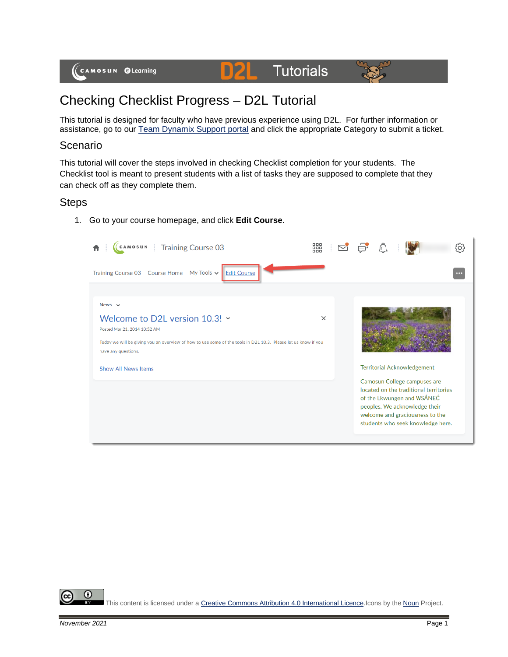#### D2L **Tutorials**



# Checking Checklist Progress – D2L Tutorial

This tutorial is designed for faculty who have previous experience using D2L. For further information or assistance, go to our [Team Dynamix Support portal](https://camosun.teamdynamix.com/TDClient/67/Portal/Requests/ServiceCatalog?CategoryID=523) and click the appropriate Category to submit a ticket.

### Scenario

This tutorial will cover the steps involved in checking Checklist completion for your students. The Checklist tool is meant to present students with a list of tasks they are supposed to complete that they can check off as they complete them.

## Steps

1. Go to your course homepage, and click **Edit Course**.

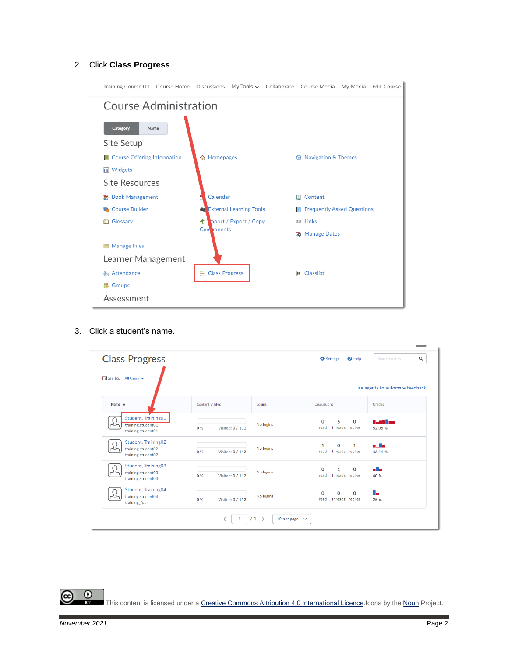#### 2. Click **Class Progress**.

| Training Course 03 Course Home Discussions My Tools v Collaborate Course Media My Media Edit Course |                                |  |                                     |  |  |
|-----------------------------------------------------------------------------------------------------|--------------------------------|--|-------------------------------------|--|--|
| <b>Course Administration</b>                                                                        |                                |  |                                     |  |  |
| <b>Category</b><br>Name                                                                             |                                |  |                                     |  |  |
| Site Setup                                                                                          |                                |  |                                     |  |  |
| <b>Course Offering Information</b>                                                                  | <b>俞 Homepages</b>             |  | <b>2</b> Navigation & Themes        |  |  |
| <b>■ Widgets</b>                                                                                    |                                |  |                                     |  |  |
| Site Resources                                                                                      |                                |  |                                     |  |  |
| Book Management                                                                                     | Calendar                       |  | <b>III</b> Content                  |  |  |
| Course Builder                                                                                      | <b>External Learning Tools</b> |  | <b>E</b> Frequently Asked Questions |  |  |
| <b>III</b> Glossary                                                                                 | 全<br>mport / Export / Copy     |  | e Links                             |  |  |
|                                                                                                     | Con <b>bonents</b>             |  | <b>路</b> Manage Dates               |  |  |
| <b>Manage Files</b>                                                                                 |                                |  |                                     |  |  |
| Learner Management                                                                                  |                                |  |                                     |  |  |
| <b>Attendance</b>                                                                                   | Class Progress                 |  | $E$ Classlist                       |  |  |
| ₩<br><b>Groups</b>                                                                                  |                                |  |                                     |  |  |
| Assessment                                                                                          |                                |  |                                     |  |  |

3. Click a student's name.

| <b>Class Progress</b>                                           |                         |           | $\bullet$ Help<br><b>D</b> Settings                         | $\alpha$<br>Search users        |  |
|-----------------------------------------------------------------|-------------------------|-----------|-------------------------------------------------------------|---------------------------------|--|
| Filter to: All Users V                                          |                         |           |                                                             | Use agents to automate feedback |  |
| Name $\triangle$                                                | <b>Content Visited</b>  | Logins    | <b>Discussions</b>                                          | Grades                          |  |
| Student, Training01<br>training.student01<br>training.student01 | 0 %<br>Visited: 0 / 111 | No logins | 5<br>$\Omega$<br>0<br>threads replies<br>read               | n Jan Tan<br>52.05 %            |  |
| Student, Training02<br>training.student02<br>training.student02 | 0 %<br>Visited: 0 / 112 | No logins | 1<br>0<br>1<br>threads replies<br>read                      | والما<br>46.11%                 |  |
| Student, Training03<br>training.student03<br>training.student03 | 0%<br>Visited: 0 / 112  | No logins | $\mathbf 0$<br>0<br>$\mathbf{1}$<br>threads replies<br>read | alla l<br>40 %                  |  |
| Student, Training04<br>training.student04<br>training_four      | 0%<br>Visited: 0 / 112  | No logins | $\Omega$<br>0<br>0<br>threads replies<br>read               | ۳.<br>25 %                      |  |
| /1<br>$\rightarrow$<br>€<br>10 per page $\sim$<br>1             |                         |           |                                                             |                                 |  |

This content is licensed under [a Creative Commons Attribution 4.0 International Licence.I](https://creativecommons.org/licenses/by/4.0/)cons by the [Noun](https://creativecommons.org/website-icons/) Project.

 $\odot$ 

(cc